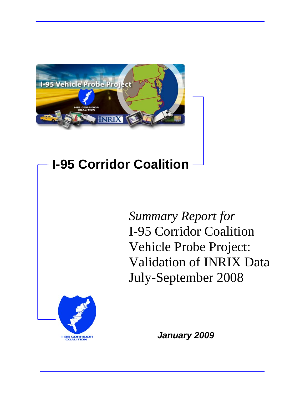

# **I-95 Corridor Coalition**

*Summary Report for* I-95 Corridor Coalition Vehicle Probe Project: Validation of INRIX Data July-September 2008



*January 2009*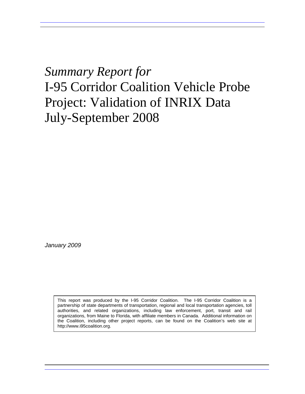## *Summary Report for* I-95 Corridor Coalition Vehicle Probe Project: Validation of INRIX Data July-September 2008

*January 2009* 

This report was produced by the I-95 Corridor Coalition. The I-95 Corridor Coalition is a partnership of state departments of transportation, regional and local transportation agencies, toll authorities, and related organizations, including law enforcement, port, transit and rail organizations, from Maine to Florida, with affiliate members in Canada. Additional information on the Coalition, including other project reports, can be found on the Coalition's web site at http://www.i95coalition.org.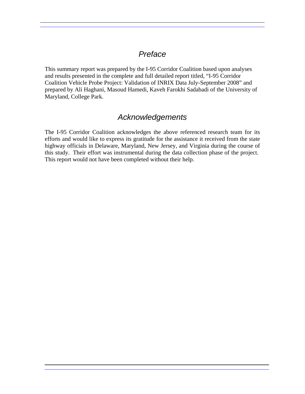## *Preface*

This summary report was prepared by the I-95 Corridor Coalition based upon analyses and results presented in the complete and full detailed report titled, "I-95 Corridor Coalition Vehicle Probe Project: Validation of INRIX Data July-September 2008" and prepared by Ali Haghani, Masoud Hamedi, Kaveh Farokhi Sadabadi of the University of Maryland, College Park.

### *Acknowledgements*

The I-95 Corridor Coalition acknowledges the above referenced research team for its efforts and would like to express its gratitude for the assistance it received from the state highway officials in Delaware, Maryland, New Jersey, and Virginia during the course of this study. Their effort was instrumental during the data collection phase of the project. This report would not have been completed without their help.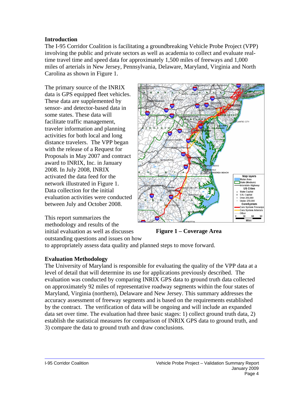#### **Introduction**

The I-95 Corridor Coalition is facilitating a groundbreaking Vehicle Probe Project (VPP) involving the public and private sectors as well as academia to collect and evaluate realtime travel time and speed data for approximately 1,500 miles of freeways and 1,000 miles of arterials in New Jersey, Pennsylvania, Delaware, Maryland, Virginia and North Carolina as shown in Figure 1.

The primary source of the INRIX data is GPS equipped fleet vehicles. These data are supplemented by sensor- and detector-based data in some states. These data will facilitate traffic management, traveler information and planning activities for both local and long distance travelers. The VPP began with the release of a Request for Proposals in May 2007 and contract award to INRIX, Inc. in January 2008. In July 2008, INRIX activated the data feed for the network illustrated in Figure 1. Data collection for the initial evaluation activities were conducted between July and October 2008.



This report summarizes the methodology and results of the initial evaluation as well as discusses outstanding questions and issues on how

**Figure 1 – Coverage Area** 

to appropriately assess data quality and planned steps to move forward.

#### **Evaluation Methodology**

The University of Maryland is responsible for evaluating the quality of the VPP data at a level of detail that will determine its use for applications previously described. The evaluation was conducted by comparing INRIX GPS data to ground truth data collected on approximately 92 miles of representative roadway segments within the four states of Maryland, Virginia (northern), Delaware and New Jersey. This summary addresses the accuracy assessment of freeway segments and is based on the requirements established by the contract. The verification of data will be ongoing and will include an expanded data set over time. The evaluation had three basic stages: 1) collect ground truth data, 2) establish the statistical measures for comparison of INRIX GPS data to ground truth, and 3) compare the data to ground truth and draw conclusions.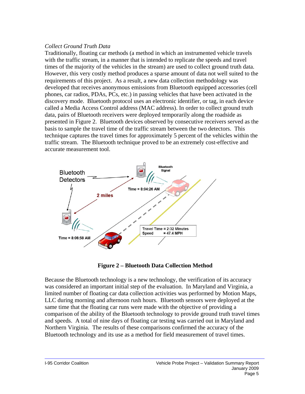#### *Collect Ground Truth Data*

Traditionally, floating car methods (a method in which an instrumented vehicle travels with the traffic stream, in a manner that is intended to replicate the speeds and travel times of the majority of the vehicles in the stream) are used to collect ground truth data. However, this very costly method produces a sparse amount of data not well suited to the requirements of this project. As a result, a new data collection methodology was developed that receives anonymous emissions from Bluetooth equipped accessories (cell phones, car radios, PDAs, PCs, etc.) in passing vehicles that have been activated in the discovery mode. Bluetooth protocol uses an electronic identifier, or tag, in each device called a Media Access Control address (MAC address). In order to collect ground truth data, pairs of Bluetooth receivers were deployed temporarily along the roadside as presented in Figure 2. Bluetooth devices observed by consecutive receivers served as the basis to sample the travel time of the traffic stream between the two detectors. This technique captures the travel times for approximately 5 percent of the vehicles within the traffic stream. The Bluetooth technique proved to be an extremely cost-effective and accurate measurement tool.



**Figure 2 – Bluetooth Data Collection Method** 

Because the Bluetooth technology is a new technology, the verification of its accuracy was considered an important initial step of the evaluation. In Maryland and Virginia, a limited number of floating car data collection activities was performed by Motion Maps, LLC during morning and afternoon rush hours. Bluetooth sensors were deployed at the same time that the floating car runs were made with the objective of providing a comparison of the ability of the Bluetooth technology to provide ground truth travel times and speeds. A total of nine days of floating car testing was carried out in Maryland and Northern Virginia. The results of these comparisons confirmed the accuracy of the Bluetooth technology and its use as a method for field measurement of travel times.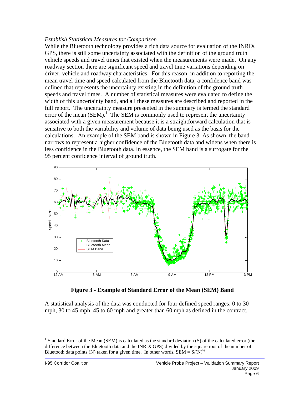#### *Establish Statistical Measures for Comparison*

While the Bluetooth technology provides a rich data source for evaluation of the INRIX GPS, there is still some uncertainty associated with the definition of the ground truth vehicle speeds and travel times that existed when the measurements were made. On any roadway section there are significant speed and travel time variations depending on driver, vehicle and roadway characteristics. For this reason, in addition to reporting the mean travel time and speed calculated from the Bluetooth data, a confidence band was defined that represents the uncertainty existing in the definition of the ground truth speeds and travel times. A number of statistical measures were evaluated to define the width of this uncertainty band, and all these measures are described and reported in the full report. The uncertainty measure presented in the summary is termed the standard error of the mean  $(SEM)$ .<sup>[1](#page-5-0)</sup> The SEM is commonly used to represent the uncertainty associated with a given measurement because it is a straightforward calculation that is sensitive to both the variability and volume of data being used as the basis for the calculations. An example of the SEM band is shown in Figure 3. As shown, the band narrows to represent a higher confidence of the Bluetooth data and widens when there is less confidence in the Bluetooth data. In essence, the SEM band is a surrogate for the 95 percent confidence interval of ground truth.



**Figure 3 - Example of Standard Error of the Mean (SEM) Band** 

A statistical analysis of the data was conducted for four defined speed ranges: 0 to 30 mph, 30 to 45 mph, 45 to 60 mph and greater than 60 mph as defined in the contract.

1

<span id="page-5-0"></span><sup>&</sup>lt;sup>1</sup> Standard Error of the Mean (SEM) is calculated as the standard deviation (S) of the calculated error (the difference between the Bluetooth data and the INRIX GPS) divided by the square root of the number of Bluetooth data points (N) taken for a given time. In other words,  $SEM = S/(N)^{1/2}$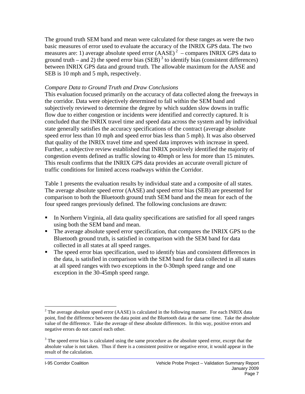The ground truth SEM band and mean were calculated for these ranges as were the two basic measures of error used to evaluate the accuracy of the INRIX GPS data. The two measures are: 1) average absolute speed error  $(AASE)^2$  $(AASE)^2$  – compares INRIX GPS data to ground truth – and 2) the speed error bias (SEB)<sup>3</sup> to identify bias (consistent differences) between INRIX GPS data and ground truth. The allowable maximum for the AASE and SEB is 10 mph and 5 mph, respectively.

#### *Compare Data to Ground Truth and Draw Conclusions*

This evaluation focused primarily on the accuracy of data collected along the freeways in the corridor. Data were objectively determined to fall within the SEM band and subjectively reviewed to determine the degree by which sudden slow downs in traffic flow due to either congestion or incidents were identified and correctly captured. It is concluded that the INRIX travel time and speed data across the system and by individual state generally satisfies the accuracy specifications of the contract (average absolute speed error less than 10 mph and speed error bias less than 5 mph). It was also observed that quality of the INRIX travel time and speed data improves with increase in speed. Further, a subjective review established that INRIX positively identified the majority of congestion events defined as traffic slowing to 40mph or less for more than 15 minutes. This result confirms that the INRIX GPS data provides an accurate overall picture of traffic conditions for limited access roadways within the Corridor.

Table 1 presents the evaluation results by individual state and a composite of all states. The average absolute speed error (AASE) and speed error bias (SEB) are presented for comparison to both the Bluetooth ground truth SEM band and the mean for each of the four speed ranges previously defined. The following conclusions are drawn:

- In Northern Virginia, all data quality specifications are satisfied for all speed ranges using both the SEM band and mean.
- The average absolute speed error specification, that compares the INRIX GPS to the Bluetooth ground truth, is satisfied in comparison with the SEM band for data collected in all states at all speed ranges.
- The speed error bias specification, used to identify bias and consistent differences in the data, is satisfied in comparison with the SEM band for data collected in all states at all speed ranges with two exceptions in the 0-30mph speed range and one exception in the 30-45mph speed range.

 $\overline{a}$ 

<span id="page-6-0"></span><sup>&</sup>lt;sup>2</sup> The average absolute speed error (AASE) is calculated in the following manner. For each INRIX data point, find the difference between the data point and the Bluetooth data at the same time. Take the absolute value of the difference. Take the average of these absolute differences. In this way, positive errors and negative errors do not cancel each other.

<span id="page-6-1"></span> $3$  The speed error bias is calculated using the same procedure as the absolute speed error, except that the absolute value is not taken. Thus if there is a consistent positive or negative error, it would appear in the result of the calculation.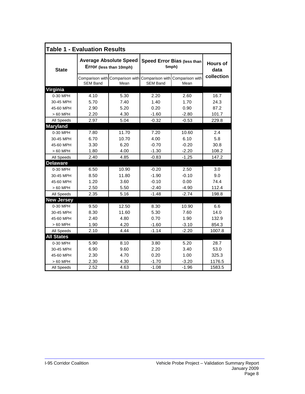| <b>Table 1 - Evaluation Results</b> |                                                          |                                         |                                             |                                         |                         |
|-------------------------------------|----------------------------------------------------------|-----------------------------------------|---------------------------------------------|-----------------------------------------|-------------------------|
| <b>State</b>                        | <b>Average Absolute Speed</b><br>Error (less than 10mph) |                                         | <b>Speed Error Bias (less than</b><br>5mph) |                                         | <b>Hours of</b><br>data |
|                                     | <b>SEM Band</b>                                          | Comparison with Comparison with<br>Mean | <b>SEM Band</b>                             | Comparison with Comparison with<br>Mean | collection              |
| <b>Virginia</b>                     |                                                          |                                         |                                             |                                         |                         |
| 0-30 MPH                            | 4.10                                                     | 5.30                                    | 2.20                                        | 2.60                                    | 16.7                    |
| 30-45 MPH                           | 5.70                                                     | 7.40                                    | 1.40                                        | 1.70                                    | 24.3                    |
| 45-60 MPH                           | 2.90                                                     | 5.20                                    | 0.20                                        | 0.90                                    | 87.2                    |
| > 60 MPH                            | 2.20                                                     | 4.30                                    | $-1.60$                                     | $-2.80$                                 | 101.7                   |
| All Speeds                          | 2.97                                                     | 5.04                                    | $-0.32$                                     | $-0.53$                                 | 229.8                   |
| <b>Maryland</b>                     |                                                          |                                         |                                             |                                         |                         |
| 0-30 MPH                            | 7.80                                                     | 11.70                                   | 7.20                                        | 10.60                                   | 2.4                     |
| 30-45 MPH                           | 6.70                                                     | 10.70                                   | 4.00                                        | 6.10                                    | 5.8                     |
| 45-60 MPH                           | 3.30                                                     | 6.20                                    | $-0.70$                                     | $-0.20$                                 | 30.8                    |
| > 60 MPH                            | 1.80                                                     | 4.00                                    | $-1.30$                                     | $-2.20$                                 | 108.2                   |
| All Speeds                          | 2.40                                                     | 4.85                                    | $-0.83$                                     | $-1.25$                                 | 147.2                   |
| <b>Delaware</b>                     |                                                          |                                         |                                             |                                         |                         |
| 0-30 MPH                            | 6.50                                                     | 10.90                                   | $-0.20$                                     | 2.50                                    | 3.0                     |
| 30-45 MPH                           | 8.50                                                     | 11.80                                   | $-1.90$                                     | $-0.10$                                 | 9.0                     |
| 45-60 MPH                           | 1.20                                                     | 3.60                                    | $-0.10$                                     | 0.00                                    | 74.4                    |
| $>60$ MPH                           | 2.50                                                     | 5.50                                    | $-2.40$                                     | $-4.90$                                 | 112.4                   |
| All Speeds                          | 2.35                                                     | 5.16                                    | $-1.48$                                     | $-2.74$                                 | 198.8                   |
| <b>New Jersey</b>                   |                                                          |                                         |                                             |                                         |                         |
| 0-30 MPH                            | 9.50                                                     | 12.50                                   | 8.30                                        | 10.90                                   | 6.6                     |
| 30-45 MPH                           | 8.30                                                     | 11.60                                   | 5.30                                        | 7.60                                    | 14.0                    |
| 45-60 MPH                           | 2.40                                                     | 4.80                                    | 0.70                                        | 1.90                                    | 132.9                   |
| > 60 MPH                            | 1.90                                                     | 4.20                                    | $-1.60$                                     | $-3.10$                                 | 854.3                   |
| All Speeds                          | 2.10                                                     | 4.44                                    | $-1.14$                                     | $-2.20$                                 | 1007.8                  |
| <b>All States</b>                   |                                                          |                                         |                                             |                                         |                         |
| 0-30 MPH                            | 5.90                                                     | 8.10                                    | 3.80                                        | 5.20                                    | 28.7                    |
| 30-45 MPH                           | 6.90                                                     | 9.60                                    | 2.20                                        | 3.40                                    | 53.0                    |
| 45-60 MPH                           | 2.30                                                     | 4.70                                    | 0.20                                        | 1.00                                    | 325.3                   |
| $>60$ MPH                           | 2.30                                                     | 4.30                                    | $-1.70$                                     | $-3.20$                                 | 1176.5                  |
| All Speeds                          | 2.52                                                     | 4.63                                    | $-1.08$                                     | $-1.96$                                 | 1583.5                  |